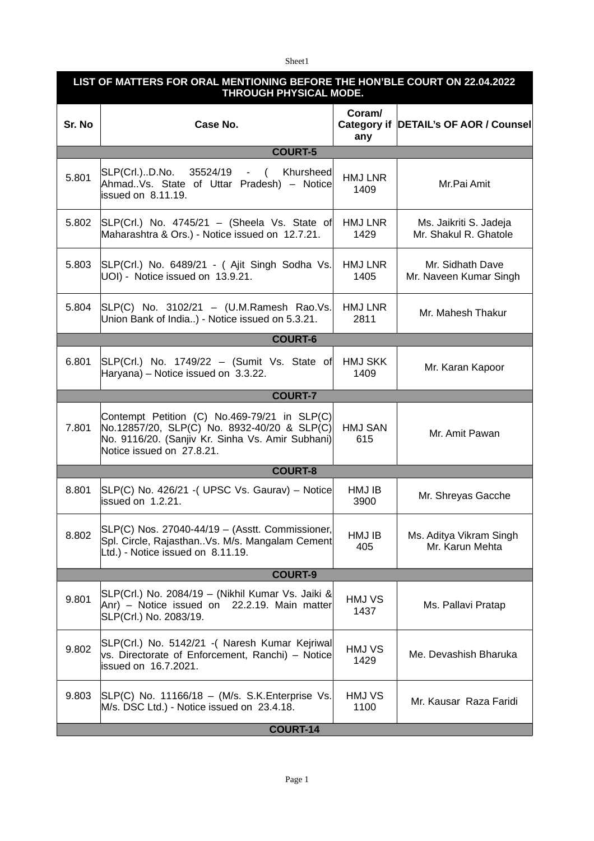Sheet1

| LIST OF MATTERS FOR ORAL MENTIONING BEFORE THE HON'BLE COURT ON 22.04.2022<br><b>THROUGH PHYSICAL MODE.</b> |                                                                                                                                                                              |                        |                                                 |  |  |
|-------------------------------------------------------------------------------------------------------------|------------------------------------------------------------------------------------------------------------------------------------------------------------------------------|------------------------|-------------------------------------------------|--|--|
| Sr. No                                                                                                      | Case No.                                                                                                                                                                     | Coram/<br>any          | Category if DETAIL's OF AOR / Counsel           |  |  |
|                                                                                                             | <b>COURT-5</b>                                                                                                                                                               |                        |                                                 |  |  |
| 5.801                                                                                                       | SLP(Crl.)D.No. 35524/19 - ( Khursheed<br>Ahmad. Vs. State of Uttar Pradesh) - Notice<br>issued on 8.11.19.                                                                   | HMJ LNR<br>1409        | Mr.Pai Amit                                     |  |  |
| 5.802                                                                                                       | $SLP(Crl.)$ No. 4745/21 – (Sheela Vs. State of<br>Maharashtra & Ors.) - Notice issued on 12.7.21.                                                                            | HMJ LNR<br>1429        | Ms. Jaikriti S. Jadeja<br>Mr. Shakul R. Ghatole |  |  |
| 5.803                                                                                                       | SLP(Crl.) No. 6489/21 - (Ajit Singh Sodha Vs.<br>UOI) - Notice issued on 13.9.21.                                                                                            | HMJ LNR<br>1405        | Mr. Sidhath Dave<br>Mr. Naveen Kumar Singh      |  |  |
| 5.804                                                                                                       | $SLP(C)$ No. 3102/21 - (U.M.Ramesh Rao.Vs.<br>Union Bank of India) - Notice issued on 5.3.21.                                                                                | HMJ LNR<br>2811        | Mr. Mahesh Thakur                               |  |  |
|                                                                                                             | <b>COURT-6</b>                                                                                                                                                               |                        |                                                 |  |  |
| 6.801                                                                                                       | SLP(Crl.) No. 1749/22 - (Sumit Vs. State of<br>Haryana) - Notice issued on 3.3.22.                                                                                           | <b>HMJ SKK</b><br>1409 | Mr. Karan Kapoor                                |  |  |
|                                                                                                             | <b>COURT-7</b>                                                                                                                                                               |                        |                                                 |  |  |
| 7.801                                                                                                       | Contempt Petition (C) No.469-79/21 in SLP(C)<br>No.12857/20, SLP(C) No. 8932-40/20 & SLP(C)<br>No. 9116/20. (Sanjiv Kr. Sinha Vs. Amir Subhani)<br>Notice issued on 27.8.21. | <b>HMJ SAN</b><br>615  | Mr. Amit Pawan                                  |  |  |
|                                                                                                             | <b>COURT-8</b>                                                                                                                                                               |                        |                                                 |  |  |
| 8.801                                                                                                       | SLP(C) No. 426/21 - (UPSC Vs. Gaurav) - Notice<br>issued on 1.2.21.                                                                                                          | HMJ IB<br>3900         | Mr. Shreyas Gacche                              |  |  |
| 8.802                                                                                                       | SLP(C) Nos. 27040-44/19 - (Asstt. Commissioner,<br>Spl. Circle, Rajasthan. Vs. M/s. Mangalam Cement<br>Ltd.) - Notice issued on 8.11.19.                                     | HMJ IB<br>405          | Ms. Aditya Vikram Singh<br>Mr. Karun Mehta      |  |  |
| <b>COURT-9</b>                                                                                              |                                                                                                                                                                              |                        |                                                 |  |  |
| 9.801                                                                                                       | SLP(Crl.) No. 2084/19 - (Nikhil Kumar Vs. Jaiki &<br>Anr) - Notice issued on 22.2.19. Main matter<br>SLP(Crl.) No. 2083/19.                                                  | HMJ VS<br>1437         | Ms. Pallavi Pratap                              |  |  |
| 9.802                                                                                                       | SLP(Crl.) No. 5142/21 - (Naresh Kumar Kejriwal<br>vs. Directorate of Enforcement, Ranchi) - Notice<br>issued on 16.7.2021.                                                   | HMJ VS<br>1429         | Me. Devashish Bharuka                           |  |  |
| 9.803                                                                                                       | SLP(C) No. 11166/18 - (M/s. S.K. Enterprise Vs.<br>M/s. DSC Ltd.) - Notice issued on 23.4.18.                                                                                | HMJ VS<br>1100         | Mr. Kausar Raza Faridi                          |  |  |
| <b>COURT-14</b>                                                                                             |                                                                                                                                                                              |                        |                                                 |  |  |